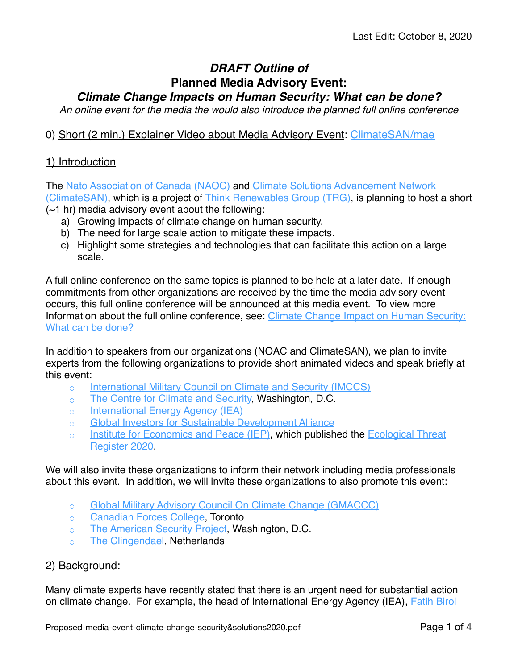# *DRAFT Outline of* **Planned Media Advisory Event:**

*Climate Change Impacts on Human Security: What can be done?*

*An online event for the media the would also introduce the planned full online conference*

## 0) Short (2 min.) Explainer Video about Media Advisory Event: [ClimateSAN/mae](https://climatesan.org/mae)

## 1) Introduction

The [Nato Association of Canada \(NAOC\)](http://natoassociation.ca/) and [Climate Solutions Advancement Network](https://climatesan.org/)  [\(ClimateSAN\)](https://climatesan.org/), which is a project of [Think Renewables Group \(TRG\),](https://thinkrenewables.com/about-us/) is planning to host a short (~1 hr) media advisory event about the following:

- a) Growing impacts of climate change on human security.
- b) The need for large scale action to mitigate these impacts.
- c) Highlight some strategies and technologies that can facilitate this action on a large scale.

A full online conference on the same topics is planned to be held at a later date. If enough commitments from other organizations are received by the time the media advisory event occurs, this full online conference will be announced at this media event. To view more Information about the full online conference, see: Climate Change Impact on Human Security: [What can be done?](https://climatesan.org/share/Proposed-event-climate-change-security&solutions2020-09-03.pdf)

In addition to speakers from our organizations (NOAC and ClimateSAN), we plan to invite experts from the following organizations to provide short animated videos and speak briefly at this event:

- [International Military Council on Climate and Security \(IMCCS\)](https://imccs.org/leadership/)
- [The Centre for Climate and Security,](https://climateandsecurity.org/) Washington, D.C.
- [International Energy Agency \(IEA\)](https://www.iea.org/)
- [Global Investors for Sustainable Development Alliance](https://www.un.org/development/desa/financing/what-we-do/other/global-investors-for-sustainable-development-alliance/about-GISD)
- [Institute for Economics and Peace \(IEP\)](https://www.economicsandpeace.org/), which published the [Ecological Threat](http://visionofhumanity.org/app/uploads/2020/09/ETR_2020_web-1.pdf)  [Register 2020](http://visionofhumanity.org/app/uploads/2020/09/ETR_2020_web-1.pdf).

We will also invite these organizations to inform their network including media professionals about this event. In addition, we will invite these organizations to also promote this event:

- [Global Military Advisory Council On Climate Change \(GMACCC\)](http://gmaccc.org/)
- [Canadian Forces College](https://www.cfc.forces.gc.ca/208-eng.html), Toronto
- [The American Security Project](https://www.americansecurityproject.org/), Washington, D.C.
- [The Clingendael](https://www.clingendael.org/), Netherlands

#### 2) Background:

Many climate experts have recently stated that there is an urgent need for substantial action on climate change. For example, the head of International Energy Agency (IEA), [Fatih Birol](https://www.theguardian.com/environment/2020/jun/18/world-has-six-months-to-avert-climate-crisis-says-energy-expert)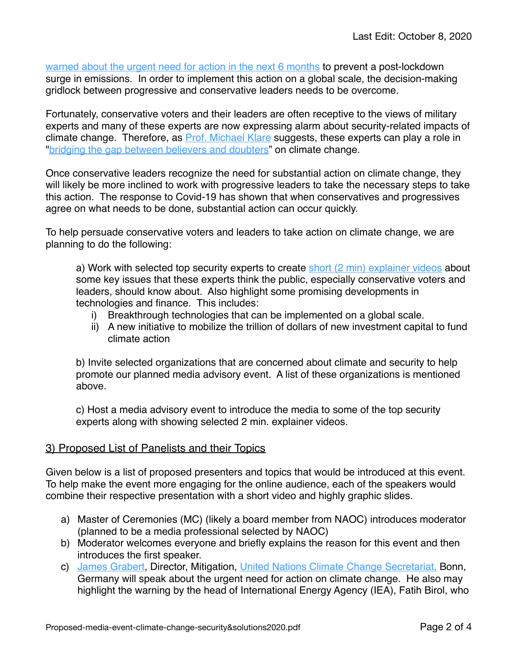[warned about the urgent need for action in the next 6 months](https://www.theguardian.com/environment/2020/jun/18/world-has-six-months-to-avert-climate-crisis-says-energy-expert) to prevent a post-lockdown surge in emissions. In order to implement this action on a global scale, the decision-making gridlock between progressive and conservative leaders needs to be overcome.

Fortunately, conservative voters and their leaders are often receptive to the views of military experts and many of these experts are now expressing alarm about security-related impacts of climate change. Therefore, as [Prof. Michael Klare](https://www.hampshire.edu/faculty/michael-klare) suggests, these experts can play a role in ["bridging the gap between believers and doubters"](https://www.greensboro.com/opinion/columns/michael-klare-a-military-perspective-on-climate-change-could-bridge/article_294445bb-cdb7-5707-b293-86ef4e8893c5.html) on climate change.

Once conservative leaders recognize the need for substantial action on climate change, they will likely be more inclined to work with progressive leaders to take the necessary steps to take this action. The response to Covid-19 has shown that when conservatives and progressives agree on what needs to be done, substantial action can occur quickly.

To help persuade conservative voters and leaders to take action on climate change, we are planning to do the following:

a) Work with selected top security experts to create [short \(2 min\) explainer videos](https://climatesan.org/creating-explainer-videos/) about some key issues that these experts think the public, especially conservative voters and leaders, should know about. Also highlight some promising developments in technologies and finance. This includes:

- i) Breakthrough technologies that can be implemented on a global scale.
- ii) A new initiative to mobilize the trillion of dollars of new investment capital to fund climate action

b) Invite selected organizations that are concerned about climate and security to help promote our planned media advisory event. A list of these organizations is mentioned above.

c) Host a media advisory event to introduce the media to some of the top security experts along with showing selected 2 min. explainer videos.

#### 3) Proposed List of Panelists and their Topics

Given below is a list of proposed presenters and topics that would be introduced at this event. To help make the event more engaging for the online audience, each of the speakers would combine their respective presentation with a short video and highly graphic slides.

- a) Master of Ceremonies (MC) (likely a board member from NAOC) introduces moderator (planned to be a media professional selected by NAOC)
- b) Moderator welcomes everyone and briefly explains the reason for this event and then introduces the first speaker.
- c) [James Grabert,](https://www.unssc.org/about-unssc/speakers-and-collaborators/james-grabert/) Director, Mitigation, [United Nations Climate Change Secretariat,](https://unfccc.int/about-us/about-the-secretariat) Bonn, Germany will speak about the urgent need for action on climate change. He also may highlight the warning by the head of International Energy Agency (IEA), Fatih Birol, who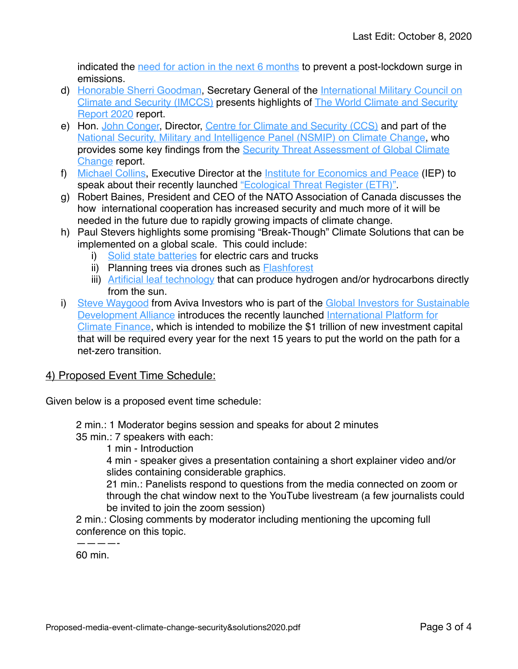indicated the [need for action in the next 6 months](https://www.theguardian.com/environment/2020/jun/18/world-has-six-months-to-avert-climate-crisis-says-energy-expert) to prevent a post-lockdown surge in emissions.

- d) [Honorable Sherri Goodman](https://imccs.org/sherri-goodman/), Secretary General of the [International Military Council on](https://imccs.org/)  [Climate and Security \(IMCCS\)](https://imccs.org/) presents highlights of [The World Climate and Security](https://climateandsecurity.org/worldclimatesecurityreport2020/)  [Report 2020](https://climateandsecurity.org/worldclimatesecurityreport2020/) report.
- e) Hon. [John Conger,](https://climateandsecurity.org/advisory-board/john-conger/) Director, [Centre for Climate and Security \(CCS\)](https://climateandsecurity.org/advisory-board/) and part of the [National Security, Military and Intelligence Panel \(NSMIP\) on Climate Change,](https://climateandsecurity.org/wp-content/uploads/2020/03/a-security-threat-assessment-of-climate-change.pdf) who provides some key findings from the Security Threat Assessment of Global Climate [Change](https://climateandsecurity.org/a-security-threat-assessment-of-global-climate-change/) report.
- f) [Michael Collins](https://climatesan.org/share/Michael-Collins-100-word-Bio.pdf), Executive Director at the [Institute for Economics and Peace](https://www.economicsandpeace.org/) (IEP) to speak about their recently launched ["Ecological Threat Register \(ETR\)"](http://visionofhumanity.org/events/us-ecological-threat-register-launch-webinar/).
- g) Robert Baines, President and CEO of the NATO Association of Canada discusses the how international cooperation has increased security and much more of it will be needed in the future due to rapidly growing impacts of climate change.
- h) Paul Stevers highlights some promising "Break-Though" Climate Solutions that can be implemented on a global scale. This could include:
	- i) [Solid state batteries](https://oilprice.com/Energy/Energy-General/Bill-Gates-Backed-Battery-Maker-Goes-Public-In-33-Billion-Deal.html) for electric cars and trucks
	- ii) Planning trees via drones such as **Flashforest**
	- iii) [Artificial leaf technology](https://climatesan.org/accelerating-climate-solutions-program-summary/) that can produce hydrogen and/or hydrocarbons directly from the sun.
- i) [Steve Waygood](https://www.avivainvestors.com/en-ca/about/our-people/s/steve-waygood/) from Aviva Investors who is part of the Global Investors for Sustainable [Development Alliance](https://www.un.org/development/desa/financing/what-we-do/other/global-investors-for-sustainable-development-alliance/GISD-home) introduces the recently launched International Platform for [Climate Finance](https://www.ethicalcorp.com/watch-demand-avivas-steve-waygood-announces-new-climate-finance-platform), which is intended to mobilize the \$1 trillion of new investment capital that will be required every year for the next 15 years to put the world on the path for a net-zero transition.

#### 4) Proposed Event Time Schedule:

Given below is a proposed event time schedule:

2 min.: 1 Moderator begins session and speaks for about 2 minutes

- 35 min.: 7 speakers with each:
	- 1 min Introduction

4 min - speaker gives a presentation containing a short explainer video and/or slides containing considerable graphics.

21 min.: Panelists respond to questions from the media connected on zoom or through the chat window next to the YouTube livestream (a few journalists could be invited to join the zoom session)

2 min.: Closing comments by moderator including mentioning the upcoming full conference on this topic.

————- 60 min.